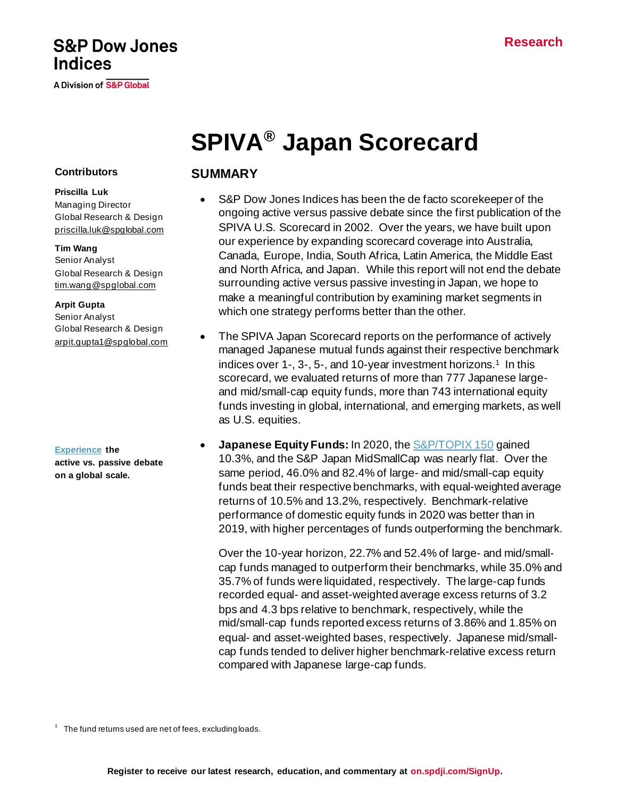## **S&P Dow Jones Indices**

A Division of S&P Global

# **SPIVA® Japan Scorecard**

#### **Contributors**

**Priscilla Luk** Managing Director Global Research & Design [priscilla.luk@spglobal.com](mailto:priscilla.luk@spglobal.com)

#### **Tim Wang**

Senior Analyst Global Research & Design [tim.wang@spglobal.com](mailto:arpit.gupta1@spglobal.com)

#### **Arpit Gupta**

Senior Analyst Global Research & Design [arpit.gupta1@spglobal.com](mailto:arpit.gupta1@spglobal.com)

**[Experience](https://www.spglobal.com/spdji/en/research-insights/spiva/) the active vs. passive debate on a global scale.**

## **SUMMARY**

- S&P Dow Jones Indices has been the de facto scorekeeper of the ongoing active versus passive debate since the first publication of the SPIVA U.S. Scorecard in 2002. Over the years, we have built upon our experience by expanding scorecard coverage into Australia, Canada, Europe, India, South Africa, Latin America, the Middle East and North Africa, and Japan. While this report will not end the debate surrounding active versus passive investing in Japan, we hope to make a meaningful contribution by examining market segments in which one strategy performs better than the other.
- The SPIVA Japan Scorecard reports on the performance of actively managed Japanese mutual funds against their respective benchmark indices over 1-, 3-, 5-, and 10-year investment horizons.<sup>1</sup> In this scorecard, we evaluated returns of more than 777 Japanese largeand mid/small-cap equity funds, more than 743 international equity funds investing in global, international, and emerging markets, as well as U.S. equities.
- **Japanese Equity Funds:** In 2020, th[e S&P/TOPIX 150](https://www.spglobal.com/spdji/en/indices/equity/sp-topix-150/#overview) gained 10.3%, and the S&P Japan MidSmallCap was nearly flat. Over the same period, 46.0% and 82.4% of large- and mid/small-cap equity funds beat their respective benchmarks, with equal-weighted average returns of 10.5% and 13.2%, respectively. Benchmark-relative performance of domestic equity funds in 2020 was better than in 2019, with higher percentages of funds outperforming the benchmark.

Over the 10-year horizon, 22.7% and 52.4% of large- and mid/smallcap funds managed to outperform their benchmarks, while 35.0% and 35.7% of funds were liquidated, respectively. The large-cap funds recorded equal- and asset-weighted average excess returns of 3.2 bps and 4.3 bps relative to benchmark, respectively, while the mid/small-cap funds reported excess returns of 3.86% and 1.85% on equal- and asset-weighted bases, respectively. Japanese mid/smallcap funds tended to deliver higher benchmark-relative excess return compared with Japanese large-cap funds.

 $1$  The fund returns used are net of fees, excluding loads.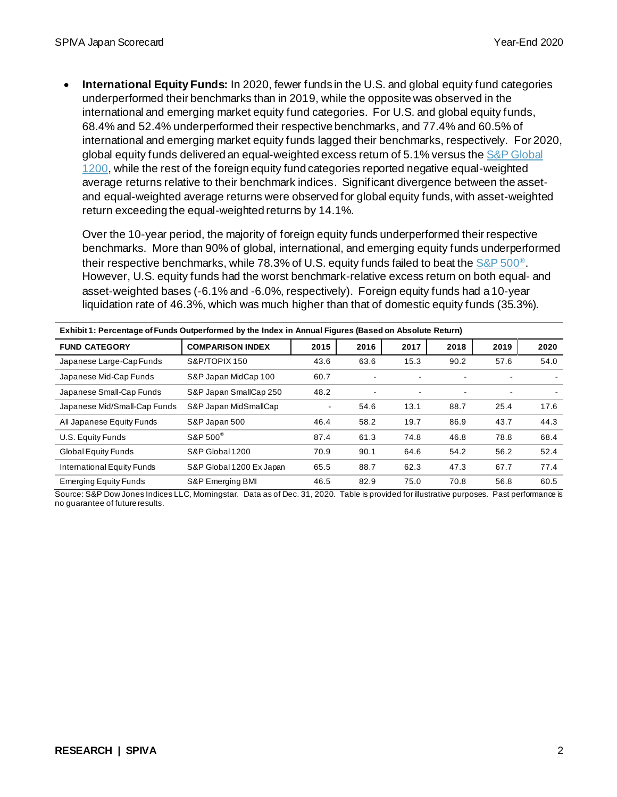• **International Equity Funds:** In 2020, fewer funds in the U.S. and global equity fund categories underperformed their benchmarks than in 2019, while the opposite was observed in the international and emerging market equity fund categories. For U.S. and global equity funds, 68.4% and 52.4% underperformed their respective benchmarks, and 77.4% and 60.5% of international and emerging market equity funds lagged their benchmarks, respectively. For 2020, global equity funds delivered an equal-weighted excess return of 5.1% versus the S&P Global [1200,](https://www.spglobal.com/spdji/en/indices/equity/sp-global-1200/#overview) while the rest of the foreign equity fund categories reported negative equal-weighted average returns relative to their benchmark indices. Significant divergence between the assetand equal-weighted average returns were observed for global equity funds, with asset-weighted return exceeding the equal-weighted returns by 14.1%.

Over the 10-year period, the majority of foreign equity funds underperformed their respective benchmarks. More than 90% of global, international, and emerging equity funds underperformed their respective benchmarks, while 78.3% of U.S. equity funds failed to beat the  $S\&P 500^{\circ}$ . However, U.S. equity funds had the worst benchmark-relative excess return on both equal- and asset-weighted bases (-6.1% and -6.0%, respectively). Foreign equity funds had a 10-year liquidation rate of 46.3%, which was much higher than that of domestic equity funds (35.3%).

| Exhibit 1: Percentage of Funds Outperformed by the Index in Annual Figures (Based on Absolute Return) |                          |                |      |                          |                |      |      |
|-------------------------------------------------------------------------------------------------------|--------------------------|----------------|------|--------------------------|----------------|------|------|
| <b>FUND CATEGORY</b>                                                                                  | <b>COMPARISON INDEX</b>  | 2015           | 2016 | 2017                     | 2018           | 2019 | 2020 |
| Japanese Large-Cap Funds                                                                              | S&P/TOPIX 150            | 43.6           | 63.6 | 15.3                     | 90.2           | 57.6 | 54.0 |
| Japanese Mid-Cap Funds                                                                                | S&P Japan MidCap 100     | 60.7           |      | $\overline{\phantom{a}}$ |                | ۰    |      |
| Japanese Small-Cap Funds                                                                              | S&P Japan SmallCap 250   | 48.2           | ٠    | ٠                        | $\blacksquare$ | ٠    |      |
| Japanese Mid/Small-Cap Funds                                                                          | S&P Japan MidSmallCap    | $\blacksquare$ | 54.6 | 13.1                     | 88.7           | 25.4 | 17.6 |
| All Japanese Equity Funds                                                                             | S&P Japan 500            | 46.4           | 58.2 | 19.7                     | 86.9           | 43.7 | 44.3 |
| U.S. Equity Funds                                                                                     | S&P 500 <sup>®</sup>     | 87.4           | 61.3 | 74.8                     | 46.8           | 78.8 | 68.4 |
| Global Equity Funds                                                                                   | S&P Global 1200          | 70.9           | 90.1 | 64.6                     | 54.2           | 56.2 | 52.4 |
| International Equity Funds                                                                            | S&P Global 1200 Ex Japan | 65.5           | 88.7 | 62.3                     | 47.3           | 67.7 | 77.4 |
| <b>Emerging Equity Funds</b>                                                                          | S&P Emerging BMI         | 46.5           | 82.9 | 75.0                     | 70.8           | 56.8 | 60.5 |

Source: S&P Dow Jones Indices LLC, Morningstar. Data as of Dec. 31, 2020. Table is provided for illustrative purposes. Past performance is no guarantee of future results.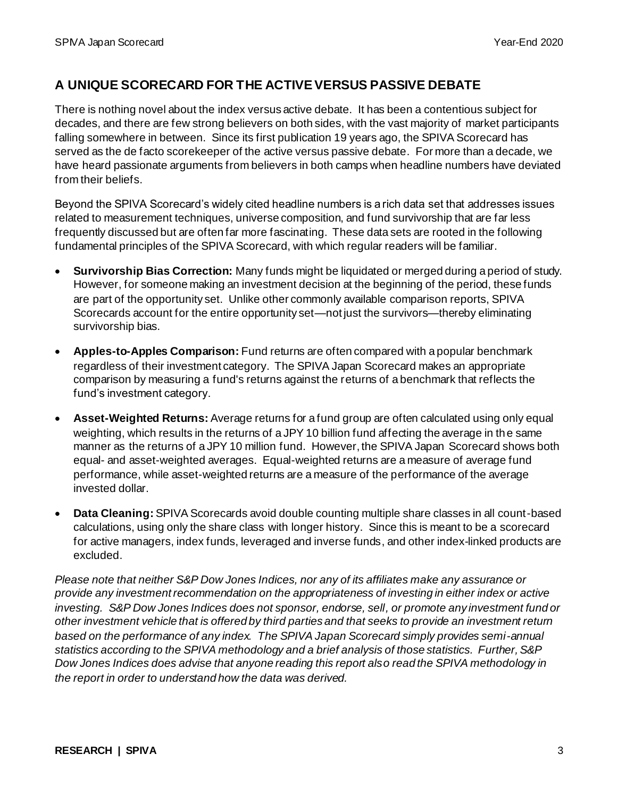## **A UNIQUE SCORECARD FOR THE ACTIVE VERSUS PASSIVE DEBATE**

There is nothing novel about the index versus active debate. It has been a contentious subject for decades, and there are few strong believers on both sides, with the vast majority of market participants falling somewhere in between. Since its first publication 19 years ago, the SPIVA Scorecard has served as the de facto scorekeeper of the active versus passive debate. For more than a decade, we have heard passionate arguments from believers in both camps when headline numbers have deviated from their beliefs.

Beyond the SPIVA Scorecard's widely cited headline numbers is a rich data set that addresses issues related to measurement techniques, universe composition, and fund survivorship that are far less frequently discussed but are often far more fascinating. These data sets are rooted in the following fundamental principles of the SPIVA Scorecard, with which regular readers will be familiar.

- **Survivorship Bias Correction:** Many funds might be liquidated or merged during a period of study. However, for someone making an investment decision at the beginning of the period, these funds are part of the opportunity set. Unlike other commonly available comparison reports, SPIVA Scorecards account for the entire opportunity set—not just the survivors—thereby eliminating survivorship bias.
- **Apples-to-Apples Comparison:** Fund returns are often compared with a popular benchmark regardless of their investment category. The SPIVA Japan Scorecard makes an appropriate comparison by measuring a fund's returns against the returns of a benchmark that reflects the fund's investment category.
- **Asset-Weighted Returns:** Average returns for a fund group are often calculated using only equal weighting, which results in the returns of a JPY 10 billion fund affecting the average in the same manner as the returns of a JPY 10 million fund. However, the SPIVA Japan Scorecard shows both equal- and asset-weighted averages. Equal-weighted returns are a measure of average fund performance, while asset-weighted returns are a measure of the performance of the average invested dollar.
- **Data Cleaning:** SPIVA Scorecards avoid double counting multiple share classes in all count-based calculations, using only the share class with longer history. Since this is meant to be a scorecard for active managers, index funds, leveraged and inverse funds, and other index-linked products are excluded.

*Please note that neither S&P Dow Jones Indices, nor any of its affiliates make any assurance or provide any investment recommendation on the appropriateness of investing in either index or active investing. S&P Dow Jones Indices does not sponsor, endorse, sell, or promote any investment fund or other investment vehicle that is offered by third parties and that seeks to provide an investment return based on the performance of any index. The SPIVA Japan Scorecard simply provides semi-annual statistics according to the SPIVA methodology and a brief analysis of those statistics. Further, S&P Dow Jones Indices does advise that anyone reading this report also read the SPIVA methodology in the report in order to understand how the data was derived.*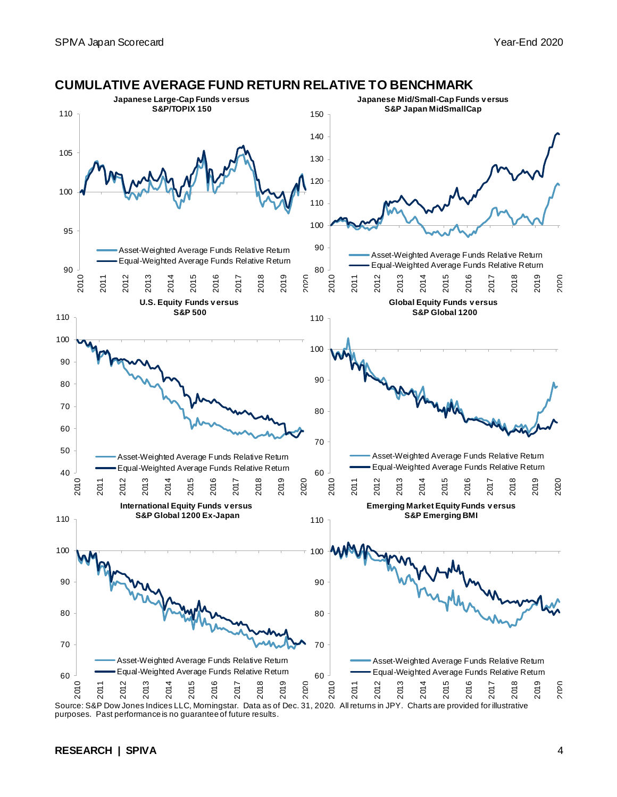

purposes. Past performance is no guarantee of future results.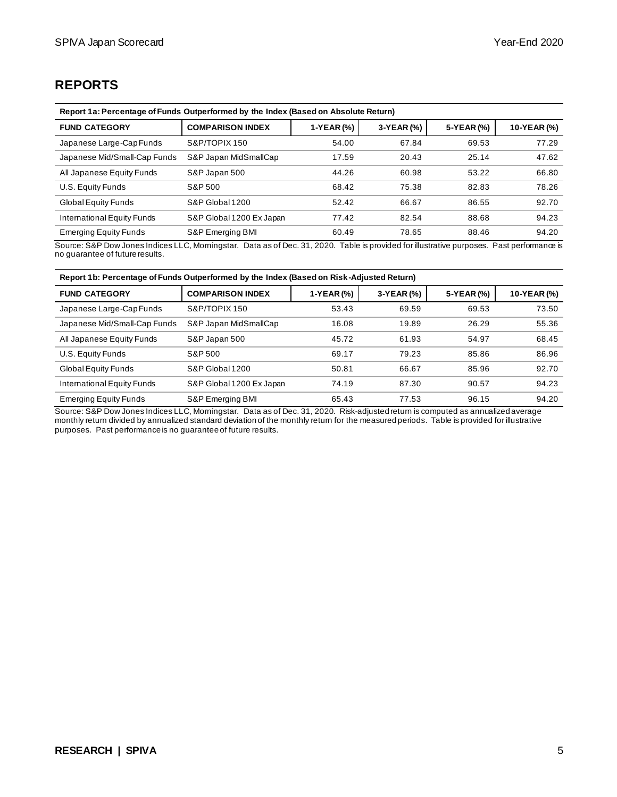## **REPORTS**

| Report 1a: Percentage of Funds Outperformed by the Index (Based on Absolute Return) |                          |            |            |            |             |
|-------------------------------------------------------------------------------------|--------------------------|------------|------------|------------|-------------|
| <b>FUND CATEGORY</b>                                                                | <b>COMPARISON INDEX</b>  | 1-YEAR (%) | 3-YEAR (%) | 5-YEAR (%) | 10-YEAR (%) |
| Japanese Large-Cap Funds                                                            | S&P/TOPIX 150            | 54.00      | 67.84      | 69.53      | 77.29       |
| Japanese Mid/Small-Cap Funds                                                        | S&P Japan MidSmallCap    | 17.59      | 20.43      | 25.14      | 47.62       |
| All Japanese Equity Funds                                                           | S&P Japan 500            | 44.26      | 60.98      | 53.22      | 66.80       |
| U.S. Equity Funds                                                                   | S&P 500                  | 68.42      | 75.38      | 82.83      | 78.26       |
| Global Equity Funds                                                                 | S&P Global 1200          | 52.42      | 66.67      | 86.55      | 92.70       |
| International Equity Funds                                                          | S&P Global 1200 Ex Japan | 77.42      | 82.54      | 88.68      | 94.23       |
| <b>Emerging Equity Funds</b>                                                        | S&P Emerging BMI         | 60.49      | 78.65      | 88.46      | 94.20       |

Source: S&P Dow Jones Indices LLC, Morningstar. Data as of Dec. 31, 2020. Table is provided for illustrative purposes. Past performance is no guarantee of future results.

| Report 1b: Percentage of Funds Outperformed by the Index (Based on Risk-Adjusted Return) |                          |            |            |            |             |
|------------------------------------------------------------------------------------------|--------------------------|------------|------------|------------|-------------|
| <b>FUND CATEGORY</b>                                                                     | <b>COMPARISON INDEX</b>  | 1-YEAR (%) | 3-YEAR (%) | 5-YEAR (%) | 10-YEAR (%) |
| Japanese Large-Cap Funds                                                                 | S&P/TOPIX 150            | 53.43      | 69.59      | 69.53      | 73.50       |
| Japanese Mid/Small-Cap Funds                                                             | S&P Japan MidSmallCap    | 16.08      | 19.89      | 26.29      | 55.36       |
| All Japanese Equity Funds                                                                | S&P Japan 500            | 45.72      | 61.93      | 54.97      | 68.45       |
| U.S. Equity Funds                                                                        | S&P 500                  | 69.17      | 79.23      | 85.86      | 86.96       |
| Global Equity Funds                                                                      | S&P Global 1200          | 50.81      | 66.67      | 85.96      | 92.70       |
| International Equity Funds                                                               | S&P Global 1200 Ex Japan | 74.19      | 87.30      | 90.57      | 94.23       |
| <b>Emerging Equity Funds</b>                                                             | S&P Emerging BMI         | 65.43      | 77.53      | 96.15      | 94.20       |

Source: S&P Dow Jones Indices LLC, Morningstar. Data as of Dec. 31, 2020. Risk-adjusted return is computed as annualized average monthly return divided by annualized standard deviation of the monthly return for the measured periods. Table is provided for illustrative purposes. Past performance is no guarantee of future results.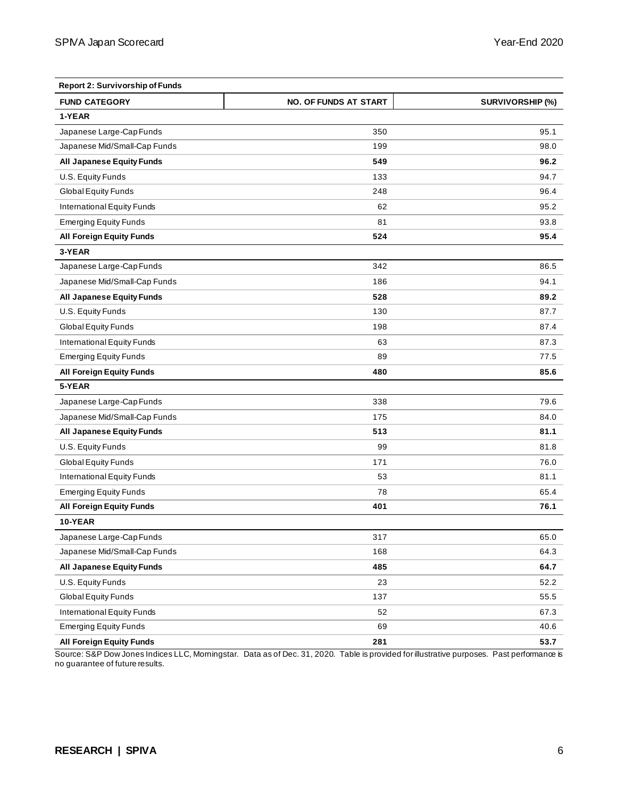| <b>Report 2: Survivorship of Funds</b> |                              |                         |
|----------------------------------------|------------------------------|-------------------------|
| <b>FUND CATEGORY</b>                   | <b>NO. OF FUNDS AT START</b> | <b>SURVIVORSHIP (%)</b> |
| 1-YEAR                                 |                              |                         |
| Japanese Large-Cap Funds               | 350                          | 95.1                    |
| Japanese Mid/Small-Cap Funds           | 199                          | 98.0                    |
| <b>All Japanese Equity Funds</b>       | 549                          | 96.2                    |
| U.S. Equity Funds                      | 133                          | 94.7                    |
| Global Equity Funds                    | 248                          | 96.4                    |
| International Equity Funds             | 62                           | 95.2                    |
| <b>Emerging Equity Funds</b>           | 81                           | 93.8                    |
| <b>All Foreign Equity Funds</b>        | 524                          | 95.4                    |
| 3-YEAR                                 |                              |                         |
| Japanese Large-Cap Funds               | 342                          | 86.5                    |
| Japanese Mid/Small-Cap Funds           | 186                          | 94.1                    |
| <b>All Japanese Equity Funds</b>       | 528                          | 89.2                    |
| U.S. Equity Funds                      | 130                          | 87.7                    |
| Global Equity Funds                    | 198                          | 87.4                    |
| International Equity Funds             | 63                           | 87.3                    |
| <b>Emerging Equity Funds</b>           | 89                           | 77.5                    |
| <b>All Foreign Equity Funds</b>        | 480                          | 85.6                    |
| 5-YEAR                                 |                              |                         |
| Japanese Large-Cap Funds               | 338                          | 79.6                    |
| Japanese Mid/Small-Cap Funds           | 175                          | 84.0                    |
| <b>All Japanese Equity Funds</b>       | 513                          | 81.1                    |
| U.S. Equity Funds                      | 99                           | 81.8                    |
| Global Equity Funds                    | 171                          | 76.0                    |
| International Equity Funds             | 53                           | 81.1                    |
| <b>Emerging Equity Funds</b>           | 78                           | 65.4                    |
| <b>All Foreign Equity Funds</b>        | 401                          | 76.1                    |
| 10-YEAR                                |                              |                         |
| Japanese Large-Cap Funds               | 317                          | 65.0                    |
| Japanese Mid/Small-Cap Funds           | 168                          | 64.3                    |
| <b>All Japanese Equity Funds</b>       | 485                          | 64.7                    |
| U.S. Equity Funds                      | 23                           | 52.2                    |
| Global Equity Funds                    | 137                          | 55.5                    |
| International Equity Funds             | 52                           | 67.3                    |
| <b>Emerging Equity Funds</b>           | 69                           | 40.6                    |
| <b>All Foreign Equity Funds</b>        | 281                          | 53.7                    |

Source: S&P Dow Jones Indices LLC, Morningstar. Data as of Dec. 31, 2020. Table is provided for illustrative purposes. Past performance is no guarantee of future results.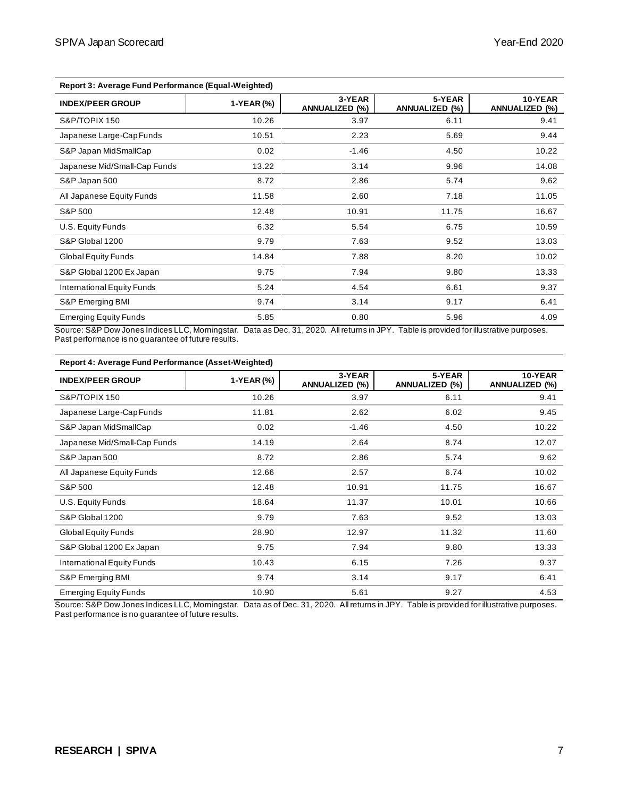| Report 3: Average Fund Performance (Equal-Weighted) |            |                                 |                                 |                                  |
|-----------------------------------------------------|------------|---------------------------------|---------------------------------|----------------------------------|
| <b>INDEX/PEER GROUP</b>                             | 1-YEAR (%) | 3-YEAR<br><b>ANNUALIZED (%)</b> | 5-YEAR<br><b>ANNUALIZED (%)</b> | 10-YEAR<br><b>ANNUALIZED (%)</b> |
| S&P/TOPIX 150                                       | 10.26      | 3.97                            | 6.11                            | 9.41                             |
| Japanese Large-Cap Funds                            | 10.51      | 2.23                            | 5.69                            | 9.44                             |
| S&P Japan MidSmallCap                               | 0.02       | $-1.46$                         | 4.50                            | 10.22                            |
| Japanese Mid/Small-Cap Funds                        | 13.22      | 3.14                            | 9.96                            | 14.08                            |
| S&P Japan 500                                       | 8.72       | 2.86                            | 5.74                            | 9.62                             |
| All Japanese Equity Funds                           | 11.58      | 2.60                            | 7.18                            | 11.05                            |
| S&P 500                                             | 12.48      | 10.91                           | 11.75                           | 16.67                            |
| U.S. Equity Funds                                   | 6.32       | 5.54                            | 6.75                            | 10.59                            |
| S&P Global 1200                                     | 9.79       | 7.63                            | 9.52                            | 13.03                            |
| Global Equity Funds                                 | 14.84      | 7.88                            | 8.20                            | 10.02                            |
| S&P Global 1200 Ex Japan                            | 9.75       | 7.94                            | 9.80                            | 13.33                            |
| International Equity Funds                          | 5.24       | 4.54                            | 6.61                            | 9.37                             |
| S&P Emerging BMI                                    | 9.74       | 3.14                            | 9.17                            | 6.41                             |
| <b>Emerging Equity Funds</b>                        | 5.85       | 0.80                            | 5.96                            | 4.09                             |

**Report 3: Average Fund Performance (Equal-Weighted)**

Source: S&P Dow Jones Indices LLC, Morningstar. Data as Dec. 31, 2020. All returns in JPY. Table is provided for illustrative purposes. Past performance is no guarantee of future results.

| Report 4: Average Fund Performance (Asset-Weighted) |            |                                 |                                 |                                  |
|-----------------------------------------------------|------------|---------------------------------|---------------------------------|----------------------------------|
| <b>INDEX/PEER GROUP</b>                             | 1-YEAR (%) | 3-YEAR<br><b>ANNUALIZED (%)</b> | 5-YEAR<br><b>ANNUALIZED (%)</b> | 10-YEAR<br><b>ANNUALIZED (%)</b> |
| S&P/TOPIX 150                                       | 10.26      | 3.97                            | 6.11                            | 9.41                             |
| Japanese Large-Cap Funds                            | 11.81      | 2.62                            | 6.02                            | 9.45                             |
| S&P Japan MidSmallCap                               | 0.02       | $-1.46$                         | 4.50                            | 10.22                            |
| Japanese Mid/Small-Cap Funds                        | 14.19      | 2.64                            | 8.74                            | 12.07                            |
| S&P Japan 500                                       | 8.72       | 2.86                            | 5.74                            | 9.62                             |
| All Japanese Equity Funds                           | 12.66      | 2.57                            | 6.74                            | 10.02                            |
| S&P 500                                             | 12.48      | 10.91                           | 11.75                           | 16.67                            |
| U.S. Equity Funds                                   | 18.64      | 11.37                           | 10.01                           | 10.66                            |
| S&P Global 1200                                     | 9.79       | 7.63                            | 9.52                            | 13.03                            |
| Global Equity Funds                                 | 28.90      | 12.97                           | 11.32                           | 11.60                            |
| S&P Global 1200 Ex Japan                            | 9.75       | 7.94                            | 9.80                            | 13.33                            |
| International Equity Funds                          | 10.43      | 6.15                            | 7.26                            | 9.37                             |
| S&P Emerging BMI                                    | 9.74       | 3.14                            | 9.17                            | 6.41                             |
| <b>Emerging Equity Funds</b>                        | 10.90      | 5.61                            | 9.27                            | 4.53                             |

Source: S&P Dow Jones Indices LLC, Morningstar. Data as of Dec. 31, 2020. All returns in JPY. Table is provided for illustrative purposes. Past performance is no guarantee of future results.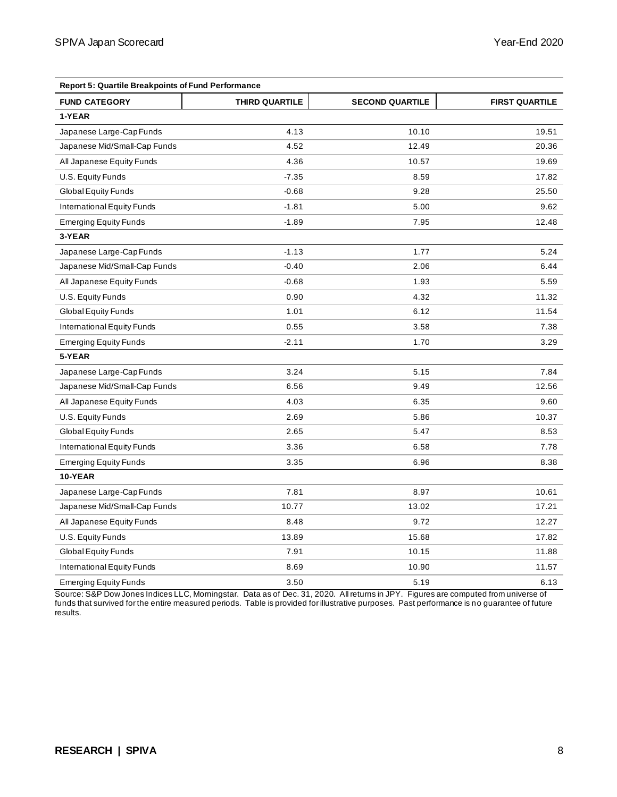| <b>Report 5: Quartile Breakpoints of Fund Performance</b> |                       |                        |                       |  |  |
|-----------------------------------------------------------|-----------------------|------------------------|-----------------------|--|--|
| <b>FUND CATEGORY</b>                                      | <b>THIRD QUARTILE</b> | <b>SECOND QUARTILE</b> | <b>FIRST QUARTILE</b> |  |  |
| 1-YEAR                                                    |                       |                        |                       |  |  |
| Japanese Large-Cap Funds                                  | 4.13                  | 10.10                  | 19.51                 |  |  |
| Japanese Mid/Small-Cap Funds                              | 4.52                  | 12.49                  | 20.36                 |  |  |
| All Japanese Equity Funds                                 | 4.36                  | 10.57                  | 19.69                 |  |  |
| U.S. Equity Funds                                         | $-7.35$               | 8.59                   | 17.82                 |  |  |
| Global Equity Funds                                       | $-0.68$               | 9.28                   | 25.50                 |  |  |
| International Equity Funds                                | $-1.81$               | 5.00                   | 9.62                  |  |  |
| <b>Emerging Equity Funds</b>                              | $-1.89$               | 7.95                   | 12.48                 |  |  |
| 3-YEAR                                                    |                       |                        |                       |  |  |
| Japanese Large-Cap Funds                                  | $-1.13$               | 1.77                   | 5.24                  |  |  |
| Japanese Mid/Small-Cap Funds                              | $-0.40$               | 2.06                   | 6.44                  |  |  |
| All Japanese Equity Funds                                 | $-0.68$               | 1.93                   | 5.59                  |  |  |
| U.S. Equity Funds                                         | 0.90                  | 4.32                   | 11.32                 |  |  |
| Global Equity Funds                                       | 1.01                  | 6.12                   | 11.54                 |  |  |
| International Equity Funds                                | 0.55                  | 3.58                   | 7.38                  |  |  |
| <b>Emerging Equity Funds</b>                              | $-2.11$               | 1.70                   | 3.29                  |  |  |
| 5-YEAR                                                    |                       |                        |                       |  |  |
| Japanese Large-Cap Funds                                  | 3.24                  | 5.15                   | 7.84                  |  |  |
| Japanese Mid/Small-Cap Funds                              | 6.56                  | 9.49                   | 12.56                 |  |  |
| All Japanese Equity Funds                                 | 4.03                  | 6.35                   | 9.60                  |  |  |
| U.S. Equity Funds                                         | 2.69                  | 5.86                   | 10.37                 |  |  |
| Global Equity Funds                                       | 2.65                  | 5.47                   | 8.53                  |  |  |
| International Equity Funds                                | 3.36                  | 6.58                   | 7.78                  |  |  |
| <b>Emerging Equity Funds</b>                              | 3.35                  | 6.96                   | 8.38                  |  |  |
| 10-YEAR                                                   |                       |                        |                       |  |  |
| Japanese Large-Cap Funds                                  | 7.81                  | 8.97                   | 10.61                 |  |  |
| Japanese Mid/Small-Cap Funds                              | 10.77                 | 13.02                  | 17.21                 |  |  |
| All Japanese Equity Funds                                 | 8.48                  | 9.72                   | 12.27                 |  |  |
| U.S. Equity Funds                                         | 13.89                 | 15.68                  | 17.82                 |  |  |
| Global Equity Funds                                       | 7.91                  | 10.15                  | 11.88                 |  |  |
| International Equity Funds                                | 8.69                  | 10.90                  | 11.57                 |  |  |
| <b>Emerging Equity Funds</b>                              | 3.50                  | 5.19                   | 6.13                  |  |  |

Source: S&P Dow Jones Indices LLC, Morningstar. Data as of Dec. 31, 2020. All returns in JPY. Figures are computed from universe of funds that survived for the entire measured periods. Table is provided for illustrative purposes. Past performance is no guarantee of future results.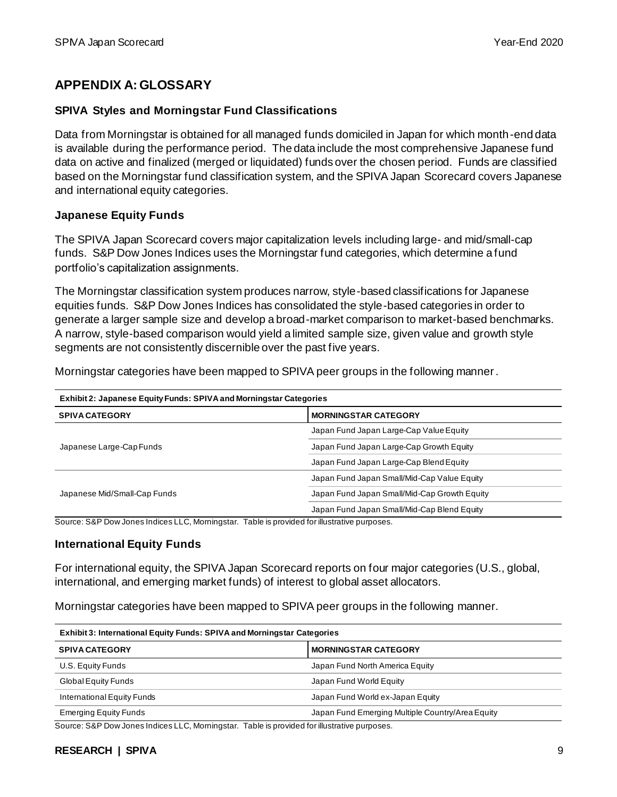## **APPENDIX A: GLOSSARY**

#### **SPIVA Styles and Morningstar Fund Classifications**

Data from Morningstar is obtained for all managed funds domiciled in Japan for which month-end data is available during the performance period. The data include the most comprehensive Japanese fund data on active and finalized (merged or liquidated) funds over the chosen period. Funds are classified based on the Morningstar fund classification system, and the SPIVA Japan Scorecard covers Japanese and international equity categories.

#### **Japanese Equity Funds**

The SPIVA Japan Scorecard covers major capitalization levels including large- and mid/small-cap funds. S&P Dow Jones Indices uses the Morningstar fund categories, which determine a fund portfolio's capitalization assignments.

The Morningstar classification system produces narrow, style-based classifications for Japanese equities funds. S&P Dow Jones Indices has consolidated the style-based categories in order to generate a larger sample size and develop a broad-market comparison to market-based benchmarks. A narrow, style-based comparison would yield a limited sample size, given value and growth style segments are not consistently discernible over the past five years.

Morningstar categories have been mapped to SPIVA peer groups in the following manner.

| Exhibit 2: Japanese Equity Funds: SPIVA and Morningstar Categories |                                              |  |  |
|--------------------------------------------------------------------|----------------------------------------------|--|--|
| <b>SPIVA CATEGORY</b>                                              | <b>MORNINGSTAR CATEGORY</b>                  |  |  |
|                                                                    | Japan Fund Japan Large-Cap Value Equity      |  |  |
| Japanese Large-Cap Funds                                           | Japan Fund Japan Large-Cap Growth Equity     |  |  |
|                                                                    | Japan Fund Japan Large-Cap Blend Equity      |  |  |
|                                                                    | Japan Fund Japan Small/Mid-Cap Value Equity  |  |  |
| Japanese Mid/Small-Cap Funds                                       | Japan Fund Japan Small/Mid-Cap Growth Equity |  |  |
|                                                                    | Japan Fund Japan Small/Mid-Cap Blend Equity  |  |  |

Source: S&P Dow Jones Indices LLC, Morningstar. Table is provided for illustrative purposes.

#### **International Equity Funds**

For international equity, the SPIVA Japan Scorecard reports on four major categories (U.S., global, international, and emerging market funds) of interest to global asset allocators.

Morningstar categories have been mapped to SPIVA peer groups in the following manner.

| <b>Exhibit 3: International Equity Funds: SPIVA and Morningstar Categories</b> |                                                  |  |
|--------------------------------------------------------------------------------|--------------------------------------------------|--|
| <b>SPIVA CATEGORY</b>                                                          | <b>MORNINGSTAR CATEGORY</b>                      |  |
| U.S. Equity Funds                                                              | Japan Fund North America Equity                  |  |
| Global Equity Funds                                                            | Japan Fund World Equity                          |  |
| International Equity Funds                                                     | Japan Fund World ex-Japan Equity                 |  |
| <b>Emerging Equity Funds</b>                                                   | Japan Fund Emerging Multiple Country/Area Equity |  |

Source: S&P Dow Jones Indices LLC, Morningstar. Table is provided for illustrative purposes.

#### **RESEARCH | SPIVA** 9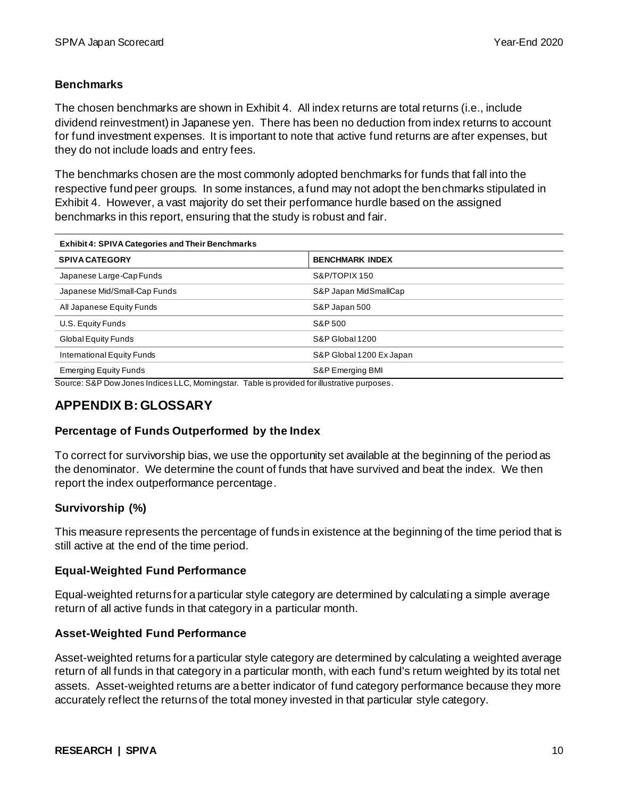#### **Benchmarks**

The chosen benchmarks are shown in Exhibit 4. All index returns are total returns (i.e., include dividend reinvestment) in Japanese yen. There has been no deduction from index returns to account for fund investment expenses. It is important to note that active fund returns are after expenses, but they do not include loads and entry fees.

The benchmarks chosen are the most commonly adopted benchmarks for funds that fall into the respective fund peer groups. In some instances, a fund may not adopt the benchmarks stipulated in Exhibit 4. However, a vast majority do set their performance hurdle based on the assigned benchmarks in this report, ensuring that the study is robust and fair.

| <b>Exhibit 4: SPIVA Categories and Their Benchmarks</b> |                          |  |
|---------------------------------------------------------|--------------------------|--|
| <b>SPIVA CATEGORY</b>                                   | <b>BENCHMARK INDEX</b>   |  |
| Japanese Large-Cap Funds                                | S&P/TOPIX 150            |  |
| Japanese Mid/Small-Cap Funds                            | S&P Japan MidSmallCap    |  |
| All Japanese Equity Funds                               | S&P Japan 500            |  |
| U.S. Equity Funds                                       | S&P 500                  |  |
| Global Equity Funds                                     | S&P Global 1200          |  |
| International Equity Funds                              | S&P Global 1200 Ex Japan |  |
| <b>Emerging Equity Funds</b>                            | S&P Emerging BMI         |  |

Source: S&P Dow Jones Indices LLC, Morningstar. Table is provided for illustrative purposes.

### **APPENDIX B: GLOSSARY**

#### **Percentage of Funds Outperformed by the Index**

To correct for survivorship bias, we use the opportunity set available at the beginning of the period as the denominator. We determine the count of funds that have survived and beat the index. We then report the index outperformance percentage.

#### **Survivorship (%)**

This measure represents the percentage of funds in existence at the beginning of the time period that is still active at the end of the time period.

#### **Equal-Weighted Fund Performance**

Equal-weighted returns for a particular style category are determined by calculating a simple average return of all active funds in that category in a particular month.

#### **Asset-Weighted Fund Performance**

Asset-weighted returns for a particular style category are determined by calculating a weighted average return of all funds in that category in a particular month, with each fund's return weighted by its total net assets. Asset-weighted returns are a better indicator of fund category performance because they more accurately reflect the returns of the total money invested in that particular style category.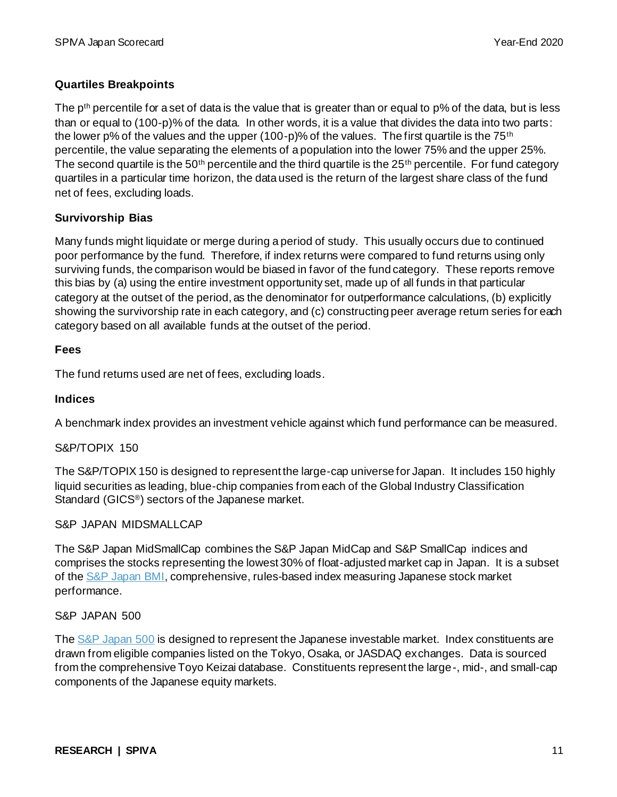#### **Quartiles Breakpoints**

The p<sup>th</sup> percentile for a set of data is the value that is greater than or equal to p% of the data, but is less than or equal to (100-p)% of the data. In other words, it is a value that divides the data into two parts: the lower p% of the values and the upper (100-p)% of the values. The first quartile is the 75<sup>th</sup> percentile, the value separating the elements of a population into the lower 75% and the upper 25%. The second quartile is the 50<sup>th</sup> percentile and the third quartile is the 25<sup>th</sup> percentile. For fund category quartiles in a particular time horizon, the data used is the return of the largest share class of the fund net of fees, excluding loads.

#### **Survivorship Bias**

Many funds might liquidate or merge during a period of study. This usually occurs due to continued poor performance by the fund. Therefore, if index returns were compared to fund returns using only surviving funds, the comparison would be biased in favor of the fund category. These reports remove this bias by (a) using the entire investment opportunity set, made up of all funds in that particular category at the outset of the period, as the denominator for outperformance calculations, (b) explicitly showing the survivorship rate in each category, and (c) constructing peer average return series for each category based on all available funds at the outset of the period.

#### **Fees**

The fund returns used are net of fees, excluding loads.

#### **Indices**

A benchmark index provides an investment vehicle against which fund performance can be measured.

#### S&P/TOPIX 150

The S&P/TOPIX 150 is designed to represent the large-cap universe for Japan. It includes 150 highly liquid securities as leading, blue-chip companies from each of the Global Industry Classification Standard (GICS®) sectors of the Japanese market.

#### S&P JAPAN MIDSMALLCAP

The S&P Japan MidSmallCap combines the S&P Japan MidCap and S&P SmallCap indices and comprises the stocks representing the lowest 30% of float-adjusted market cap in Japan. It is a subset of th[e S&P Japan BMI,](https://www.spglobal.com/spdji/en/indices/equity/sp-japanese-bmi/#overview) comprehensive, rules-based index measuring Japanese stock market performance.

#### S&P JAPAN 500

Th[e S&P Japan 500](https://www.spglobal.com/spdji/en/indices/equity/sp-japan-500/#overview) is designed to represent the Japanese investable market. Index constituents are drawn from eligible companies listed on the Tokyo, Osaka, or JASDAQ exchanges. Data is sourced from the comprehensive Toyo Keizai database. Constituents represent the large-, mid-, and small-cap components of the Japanese equity markets.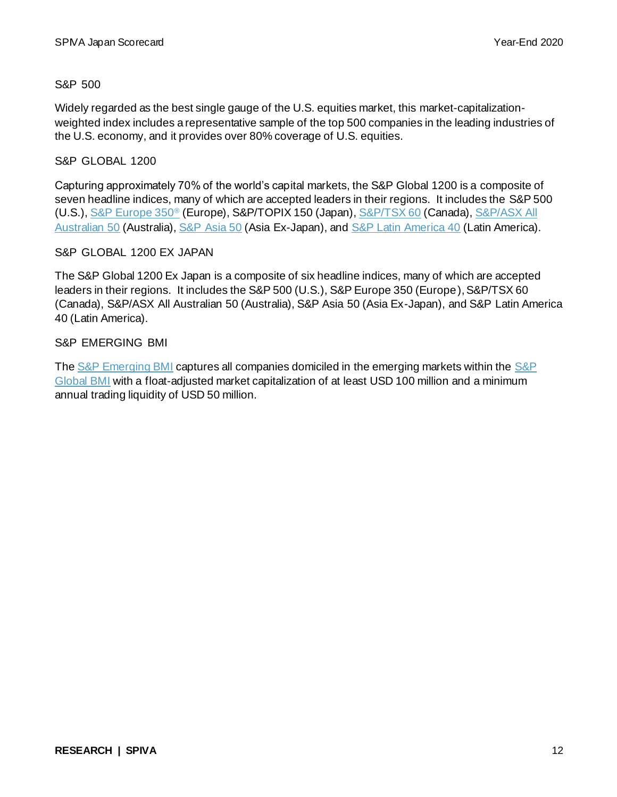#### S&P 500

Widely regarded as the best single gauge of the U.S. equities market, this market-capitalizationweighted index includes a representative sample of the top 500 companies in the leading industries of the U.S. economy, and it provides over 80% coverage of U.S. equities.

#### S&P GLOBAL 1200

Capturing approximately 70% of the world's capital markets, the S&P Global 1200 is a composite of seven headline indices, many of which are accepted leaders in their regions. It includes the S&P 500 (U.S.)[, S&P Europe 350](https://www.spglobal.com/spdji/en/indices/equity/sp-europe-350/#overview)® (Europe), S&P/TOPIX 150 (Japan)[, S&P/TSX 60](https://www.spglobal.com/spdji/en/indices/equity/sp-tsx-60/#overview) (Canada)[, S&P/ASX All](https://www.spglobal.com/spdji/en/indices/equity/sp-asx-all-australian-50/#overview)  [Australian 50](https://www.spglobal.com/spdji/en/indices/equity/sp-asx-all-australian-50/#overview) (Australia)[, S&P Asia 50](https://www.spglobal.com/spdji/en/indices/equity/sp-asia-50/#overview) (Asia Ex-Japan), and [S&P Latin America 40](https://www.spglobal.com/spdji/en/indices/equity/sp-latin-america-40/#overview) (Latin America).

#### S&P GLOBAL 1200 EX JAPAN

The S&P Global 1200 Ex Japan is a composite of six headline indices, many of which are accepted leaders in their regions. It includes the S&P 500 (U.S.), S&P Europe 350 (Europe), S&P/TSX 60 (Canada), S&P/ASX All Australian 50 (Australia), S&P Asia 50 (Asia Ex-Japan), and S&P Latin America 40 (Latin America).

#### S&P EMERGING BMI

Th[e S&P Emerging BMI](https://www.spglobal.com/spdji/en/indices/equity/sp-emerging-bmi/#overview) captures all companies domiciled in the emerging markets within th[e S&P](https://www.spglobal.com/spdji/en/indices/equity/sp-global-bmi/#overview)  [Global BMI](https://www.spglobal.com/spdji/en/indices/equity/sp-global-bmi/#overview) with a float-adjusted market capitalization of at least USD 100 million and a minimum annual trading liquidity of USD 50 million.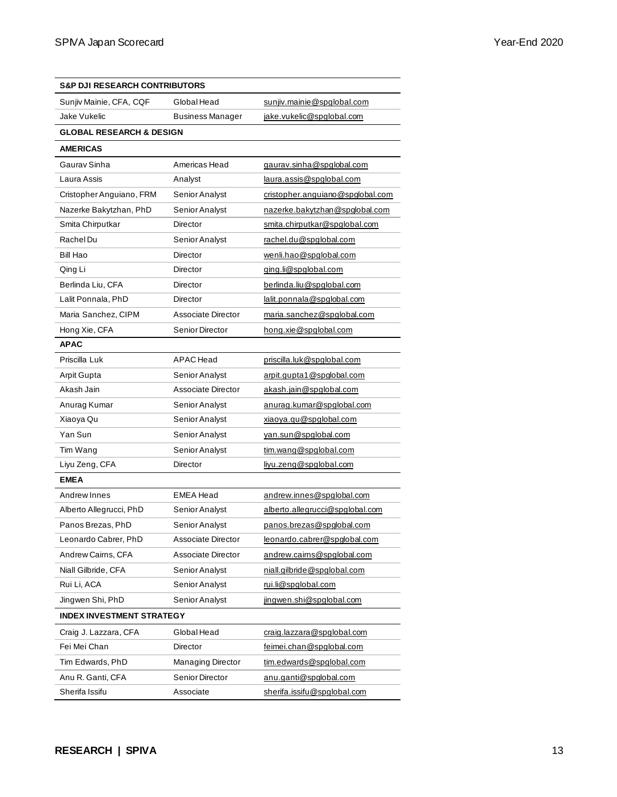| <b>S&amp;P DJI RESEARCH CONTRIBUTORS</b> |                          |                                  |
|------------------------------------------|--------------------------|----------------------------------|
| Sunjiv Mainie, CFA, CQF                  | Global Head              | sunjiv.mainie@spglobal.com       |
| Jake Vukelic                             | <b>Business Manager</b>  | jake.vukelic@spglobal.com        |
| <b>GLOBAL RESEARCH &amp; DESIGN</b>      |                          |                                  |
| <b>AMERICAS</b>                          |                          |                                  |
| Gaurav Sinha                             | Americas Head            | gaurav.sinha@spglobal.com        |
| Laura Assis                              | Analyst                  | laura.assis@spqlobal.com         |
| Cristopher Anguiano, FRM                 | Senior Analyst           | cristopher.anguiano@spglobal.com |
| Nazerke Bakytzhan, PhD                   | Senior Analyst           | nazerke.bakytzhan@spqlobal.com   |
| Smita Chirputkar                         | Director                 | smita.chirputkar@spglobal.com    |
| Rachel Du                                | Senior Analyst           | rachel.du@spqlobal.com           |
| Bill Hao                                 | Director                 | wenli.hao@spglobal.com           |
| Qing Li                                  | Director                 | ging.li@spglobal.com             |
| Berlinda Liu, CFA                        | Director                 | berlinda.liu@spglobal.com        |
| Lalit Ponnala, PhD                       | Director                 | lalit.ponnala@spqlobal.com       |
| Maria Sanchez, CIPM                      | Associate Director       | maria.sanchez@spglobal.com       |
| Hong Xie, CFA                            | Senior Director          | hong.xie@spglobal.com            |
| <b>APAC</b>                              |                          |                                  |
| Priscilla Luk                            | <b>APAC</b> Head         | priscilla.luk@spglobal.com       |
| Arpit Gupta                              | Senior Analyst           | arpit.qupta1@spqlobal.com        |
| Akash Jain                               | Associate Director       | akash.jain@spglobal.com          |
| Anurag Kumar                             | Senior Analyst           | anurag.kumar@spglobal.com        |
| Xiaoya Qu                                | Senior Analyst           | xiaoya.qu@spglobal.com           |
| Yan Sun                                  | Senior Analyst           | van.sun@spglobal.com             |
| Tim Wang                                 | Senior Analyst           | tim.wang@spglobal.com            |
| Liyu Zeng, CFA                           | Director                 | livu.zeng@spglobal.com           |
| <b>EMEA</b>                              |                          |                                  |
| Andrew Innes                             | <b>EMEA Head</b>         | andrew.innes@spqlobal.com        |
| Alberto Allegrucci, PhD                  | Senior Analyst           | alberto.allegrucci@spglobal.com  |
| Panos Brezas, PhD                        | Senior Analyst           | panos.brezas@spqlobal.com        |
| Leonardo Cabrer, PhD                     | Associate Director       | leonardo.cabrer@spglobal.com     |
| Andrew Cairns, CFA                       | Associate Director       | andrew.cairns@spqlobal.com       |
| Niall Gilbride, CFA                      | Senior Analyst           | niall.gilbride@spglobal.com      |
| Rui Li, ACA                              | Senior Analyst           | rui.li@spglobal.com              |
| Jingwen Shi, PhD                         | Senior Analyst           | jingwen.shi@spglobal.com         |
| <b>INDEX INVESTMENT STRATEGY</b>         |                          |                                  |
| Craig J. Lazzara, CFA                    | Global Head              | craig.lazzara@spglobal.com       |
| Fei Mei Chan                             | Director                 | feimei.chan@spglobal.com         |
| Tim Edwards, PhD                         | <b>Managing Director</b> | tim.edwards@spglobal.com         |
| Anu R. Ganti, CFA                        | Senior Director          | anu.ganti@spglobal.com           |
| Sherifa Issifu                           | Associate                | sherifa.issifu@spqlobal.com      |